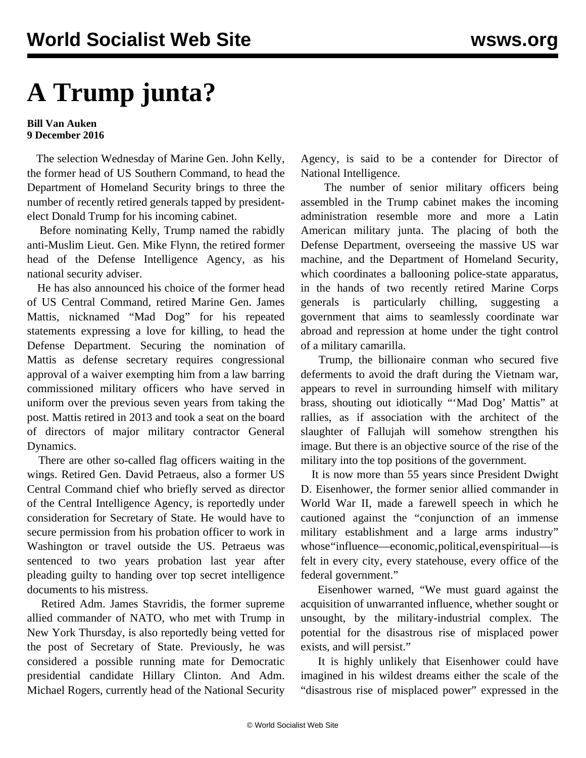## **A Trump junta?**

## **Bill Van Auken 9 December 2016**

 The selection Wednesday of Marine Gen. John Kelly, the former head of US Southern Command, to head the Department of Homeland Security brings to three the number of recently retired generals tapped by presidentelect Donald Trump for his incoming cabinet.

 Before nominating Kelly, Trump named the rabidly anti-Muslim Lieut. Gen. Mike Flynn, the retired former head of the Defense Intelligence Agency, as his national security adviser.

 He has also announced his choice of the former head of US Central Command, retired Marine Gen. James Mattis, nicknamed "Mad Dog" for his repeated statements expressing a love for killing, to head the Defense Department. Securing the nomination of Mattis as defense secretary requires congressional approval of a waiver exempting him from a law barring commissioned military officers who have served in uniform over the previous seven years from taking the post. Mattis retired in 2013 and took a seat on the board of directors of major military contractor General Dynamics.

 There are other so-called flag officers waiting in the wings. Retired Gen. David Petraeus, also a former US Central Command chief who briefly served as director of the Central Intelligence Agency, is reportedly under consideration for Secretary of State. He would have to secure permission from his probation officer to work in Washington or travel outside the US. Petraeus was sentenced to two years probation last year after pleading guilty to handing over top secret intelligence documents to his mistress.

 Retired Adm. James Stavridis, the former supreme allied commander of NATO, who met with Trump in New York Thursday, is also reportedly being vetted for the post of Secretary of State. Previously, he was considered a possible running mate for Democratic presidential candidate Hillary Clinton. And Adm. Michael Rogers, currently head of the National Security Agency, is said to be a contender for Director of National Intelligence.

 The number of senior military officers being assembled in the Trump cabinet makes the incoming administration resemble more and more a Latin American military junta. The placing of both the Defense Department, overseeing the massive US war machine, and the Department of Homeland Security, which coordinates a ballooning police-state apparatus, in the hands of two recently retired Marine Corps generals is particularly chilling, suggesting a government that aims to seamlessly coordinate war abroad and repression at home under the tight control of a military camarilla.

 Trump, the billionaire conman who secured five deferments to avoid the draft during the Vietnam war, appears to revel in surrounding himself with military brass, shouting out idiotically "'Mad Dog' Mattis" at rallies, as if association with the architect of the slaughter of Fallujah will somehow strengthen his image. But there is an objective source of the rise of the military into the top positions of the government.

 It is now more than 55 years since President Dwight D. Eisenhower, the former senior allied commander in World War II, made a farewell speech in which he cautioned against the "conjunction of an immense military establishment and a large arms industry" whose "influence—economic, political, even spiritual—is felt in every city, every statehouse, every office of the federal government."

 Eisenhower warned, "We must guard against the acquisition of unwarranted influence, whether sought or unsought, by the military-industrial complex. The potential for the disastrous rise of misplaced power exists, and will persist."

 It is highly unlikely that Eisenhower could have imagined in his wildest dreams either the scale of the "disastrous rise of misplaced power" expressed in the